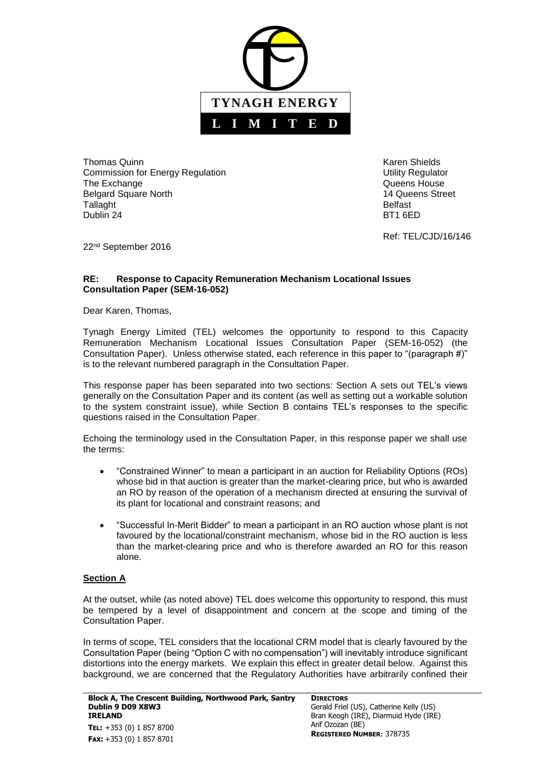

Thomas Quinn **Karen Shields Karen Shields Karen Shields** Commission for Energy Regulation **National Commission for Energy Regulation** Commission for Energy Regulation The Exchange **The Exchange CONSISTENT CONSISTENT CONSISTENT Queens House** Belgard Square North 14 Queens Street Tallaght **Belfast** Dublin 24 BT1 6ED

Ref: TEL/CJD/16/146

22nd September 2016

#### **RE: Response to Capacity Remuneration Mechanism Locational Issues Consultation Paper (SEM-16-052)**

Dear Karen, Thomas,

Tynagh Energy Limited (TEL) welcomes the opportunity to respond to this Capacity Remuneration Mechanism Locational Issues Consultation Paper (SEM-16-052) (the Consultation Paper). Unless otherwise stated, each reference in this paper to "(paragraph #)" is to the relevant numbered paragraph in the Consultation Paper.

This response paper has been separated into two sections: Section A sets out TEL's views generally on the Consultation Paper and its content (as well as setting out a workable solution to the system constraint issue), while Section B contains TEL's responses to the specific questions raised in the Consultation Paper.

Echoing the terminology used in the Consultation Paper, in this response paper we shall use the terms:

- "Constrained Winner" to mean a participant in an auction for Reliability Options (ROs) whose bid in that auction is greater than the market-clearing price, but who is awarded an RO by reason of the operation of a mechanism directed at ensuring the survival of its plant for locational and constraint reasons; and
- "Successful In-Merit Bidder" to mean a participant in an RO auction whose plant is not favoured by the locational/constraint mechanism, whose bid in the RO auction is less than the market-clearing price and who is therefore awarded an RO for this reason alone.

### **Section A**

At the outset, while (as noted above) TEL does welcome this opportunity to respond, this must be tempered by a level of disappointment and concern at the scope and timing of the Consultation Paper.

In terms of scope, TEL considers that the locational CRM model that is clearly favoured by the Consultation Paper (being "Option C with no compensation") will inevitably introduce significant distortions into the energy markets. We explain this effect in greater detail below. Against this background, we are concerned that the Regulatory Authorities have arbitrarily confined their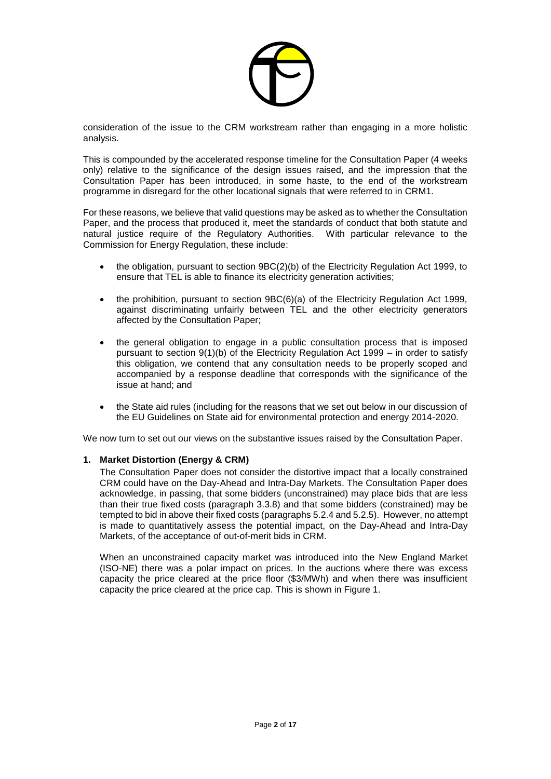

consideration of the issue to the CRM workstream rather than engaging in a more holistic analysis.

This is compounded by the accelerated response timeline for the Consultation Paper (4 weeks only) relative to the significance of the design issues raised, and the impression that the Consultation Paper has been introduced, in some haste, to the end of the workstream programme in disregard for the other locational signals that were referred to in CRM1.

For these reasons, we believe that valid questions may be asked as to whether the Consultation Paper, and the process that produced it, meet the standards of conduct that both statute and natural justice require of the Regulatory Authorities. With particular relevance to the Commission for Energy Regulation, these include:

- the obligation, pursuant to section 9BC(2)(b) of the Electricity Regulation Act 1999, to ensure that TEL is able to finance its electricity generation activities;
- the prohibition, pursuant to section 9BC(6)(a) of the Electricity Regulation Act 1999, against discriminating unfairly between TEL and the other electricity generators affected by the Consultation Paper;
- the general obligation to engage in a public consultation process that is imposed pursuant to section 9(1)(b) of the Electricity Regulation Act 1999 – in order to satisfy this obligation, we contend that any consultation needs to be properly scoped and accompanied by a response deadline that corresponds with the significance of the issue at hand; and
- the State aid rules (including for the reasons that we set out below in our discussion of the EU Guidelines on State aid for environmental protection and energy 2014-2020.

We now turn to set out our views on the substantive issues raised by the Consultation Paper.

### **1. Market Distortion (Energy & CRM)**

The Consultation Paper does not consider the distortive impact that a locally constrained CRM could have on the Day-Ahead and Intra-Day Markets. The Consultation Paper does acknowledge, in passing, that some bidders (unconstrained) may place bids that are less than their true fixed costs (paragraph 3.3.8) and that some bidders (constrained) may be tempted to bid in above their fixed costs (paragraphs 5.2.4 and 5.2.5). However, no attempt is made to quantitatively assess the potential impact, on the Day-Ahead and Intra-Day Markets, of the acceptance of out-of-merit bids in CRM.

When an unconstrained capacity market was introduced into the New England Market (ISO-NE) there was a polar impact on prices. In the auctions where there was excess capacity the price cleared at the price floor (\$3/MWh) and when there was insufficient capacity the price cleared at the price cap. This is shown in Figure 1.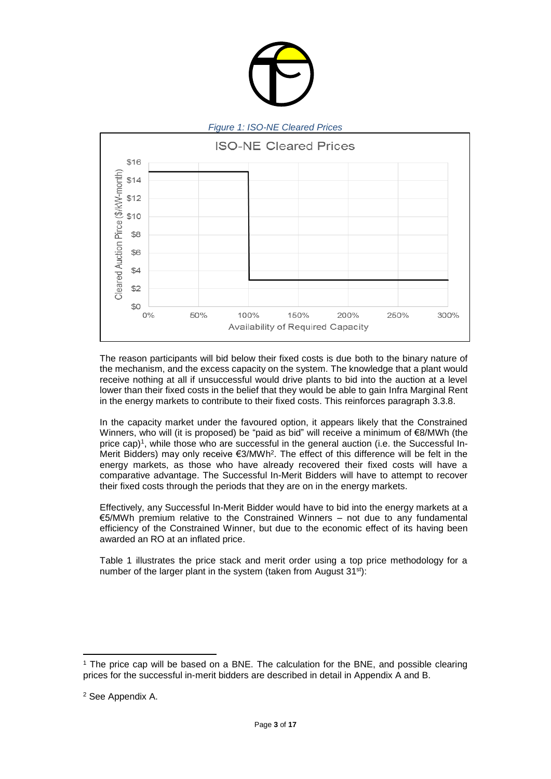

The reason participants will bid below their fixed costs is due both to the binary nature of the mechanism, and the excess capacity on the system. The knowledge that a plant would receive nothing at all if unsuccessful would drive plants to bid into the auction at a level lower than their fixed costs in the belief that they would be able to gain Infra Marginal Rent in the energy markets to contribute to their fixed costs. This reinforces paragraph 3.3.8.

In the capacity market under the favoured option, it appears likely that the Constrained Winners, who will (it is proposed) be "paid as bid" will receive a minimum of €8/MWh (the price cap)<sup>1</sup>, while those who are successful in the general auction (i.e. the Successful In-Merit Bidders) may only receive €3/MWh<sup>2</sup>. The effect of this difference will be felt in the energy markets, as those who have already recovered their fixed costs will have a comparative advantage. The Successful In-Merit Bidders will have to attempt to recover their fixed costs through the periods that they are on in the energy markets.

Effectively, any Successful In-Merit Bidder would have to bid into the energy markets at a €5/MWh premium relative to the Constrained Winners – not due to any fundamental efficiency of the Constrained Winner, but due to the economic effect of its having been awarded an RO at an inflated price.

Table 1 illustrates the price stack and merit order using a top price methodology for a number of the larger plant in the system (taken from August 31<sup>st</sup>):

 $\overline{a}$ 

<sup>1</sup> The price cap will be based on a BNE. The calculation for the BNE, and possible clearing prices for the successful in-merit bidders are described in detail in Appendix A and B.

<sup>2</sup> See Appendix A.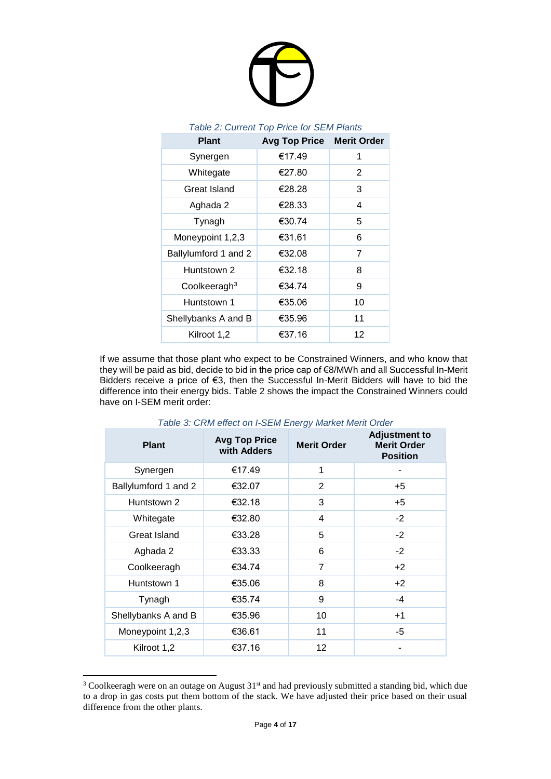

### *Table 2: Current Top Price for SEM Plants*

| <b>Avg Top Price</b> | <b>Merit Order</b> |
|----------------------|--------------------|
| €17.49               | 1                  |
| €27.80               | 2                  |
| €28.28               | 3                  |
| €28.33               | 4                  |
| €30.74               | 5                  |
| €31.61               | 6                  |
| €32.08               | 7                  |
| €32.18               | 8                  |
| €34.74               | 9                  |
| €35.06               | 10                 |
| €35.96               | 11                 |
| €37.16               | 12                 |
|                      |                    |

If we assume that those plant who expect to be Constrained Winners, and who know that they will be paid as bid, decide to bid in the price cap of €8/MWh and all Successful In-Merit Bidders receive a price of €3, then the Successful In-Merit Bidders will have to bid the difference into their energy bids. Table 2 shows the impact the Constrained Winners could have on I-SEM merit order:

| <b>Plant</b>         | <b>Avg Top Price</b><br>with Adders | <b>Merit Order</b> | <b>Adjustment to</b><br><b>Merit Order</b><br><b>Position</b> |
|----------------------|-------------------------------------|--------------------|---------------------------------------------------------------|
| Synergen             | €17.49                              | 1                  |                                                               |
| Ballylumford 1 and 2 | €32.07                              | 2                  | $+5$                                                          |
| Huntstown 2          | €32.18                              | 3                  | $+5$                                                          |
| Whitegate            | €32.80                              | 4                  | $-2$                                                          |
| <b>Great Island</b>  | €33.28                              | 5                  | $-2$                                                          |
| Aghada 2             | €33.33                              | 6                  | $-2$                                                          |
| Coolkeeragh          | €34.74                              | $\overline{7}$     | $+2$                                                          |
| Huntstown 1          | €35.06                              | 8                  | $+2$                                                          |
| Tynagh               | €35.74                              | 9                  | $-4$                                                          |
| Shellybanks A and B  | €35.96                              | 10                 | $+1$                                                          |
| Moneypoint 1,2,3     | €36.61                              | 11                 | $-5$                                                          |
| Kilroot 1,2          | €37.16                              | 12                 |                                                               |

*Table 3: CRM effect on I-SEM Energy Market Merit Order*

l

<sup>&</sup>lt;sup>3</sup> Coolkeeragh were on an outage on August 31<sup>st</sup> and had previously submitted a standing bid, which due to a drop in gas costs put them bottom of the stack. We have adjusted their price based on their usual difference from the other plants.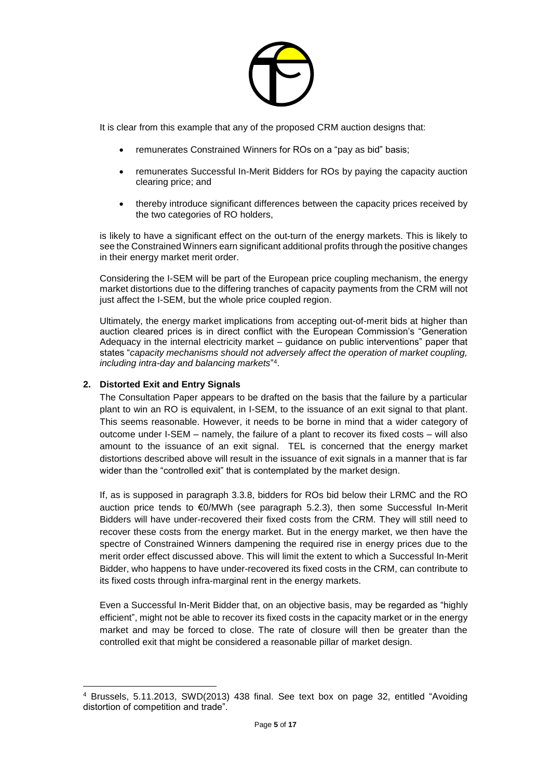

It is clear from this example that any of the proposed CRM auction designs that:

- remunerates Constrained Winners for ROs on a "pay as bid" basis;
- remunerates Successful In-Merit Bidders for ROs by paying the capacity auction clearing price; and
- thereby introduce significant differences between the capacity prices received by the two categories of RO holders,

is likely to have a significant effect on the out-turn of the energy markets. This is likely to see the Constrained Winners earn significant additional profits through the positive changes in their energy market merit order.

Considering the I-SEM will be part of the European price coupling mechanism, the energy market distortions due to the differing tranches of capacity payments from the CRM will not just affect the I-SEM, but the whole price coupled region.

Ultimately, the energy market implications from accepting out-of-merit bids at higher than auction cleared prices is in direct conflict with the European Commission's "Generation Adequacy in the internal electricity market – guidance on public interventions" paper that states "*capacity mechanisms should not adversely affect the operation of market coupling, including intra-day and balancing markets*" 4 .

### **2. Distorted Exit and Entry Signals**

 $\overline{a}$ 

The Consultation Paper appears to be drafted on the basis that the failure by a particular plant to win an RO is equivalent, in I-SEM, to the issuance of an exit signal to that plant. This seems reasonable. However, it needs to be borne in mind that a wider category of outcome under I-SEM – namely, the failure of a plant to recover its fixed costs – will also amount to the issuance of an exit signal. TEL is concerned that the energy market distortions described above will result in the issuance of exit signals in a manner that is far wider than the "controlled exit" that is contemplated by the market design.

If, as is supposed in paragraph 3.3.8, bidders for ROs bid below their LRMC and the RO auction price tends to €0/MWh (see paragraph 5.2.3), then some Successful In-Merit Bidders will have under-recovered their fixed costs from the CRM. They will still need to recover these costs from the energy market. But in the energy market, we then have the spectre of Constrained Winners dampening the required rise in energy prices due to the merit order effect discussed above. This will limit the extent to which a Successful In-Merit Bidder, who happens to have under-recovered its fixed costs in the CRM, can contribute to its fixed costs through infra-marginal rent in the energy markets.

Even a Successful In-Merit Bidder that, on an objective basis, may be regarded as "highly efficient", might not be able to recover its fixed costs in the capacity market or in the energy market and may be forced to close. The rate of closure will then be greater than the controlled exit that might be considered a reasonable pillar of market design.

<sup>4</sup> Brussels, 5.11.2013, SWD(2013) 438 final. See text box on page 32, entitled "Avoiding distortion of competition and trade".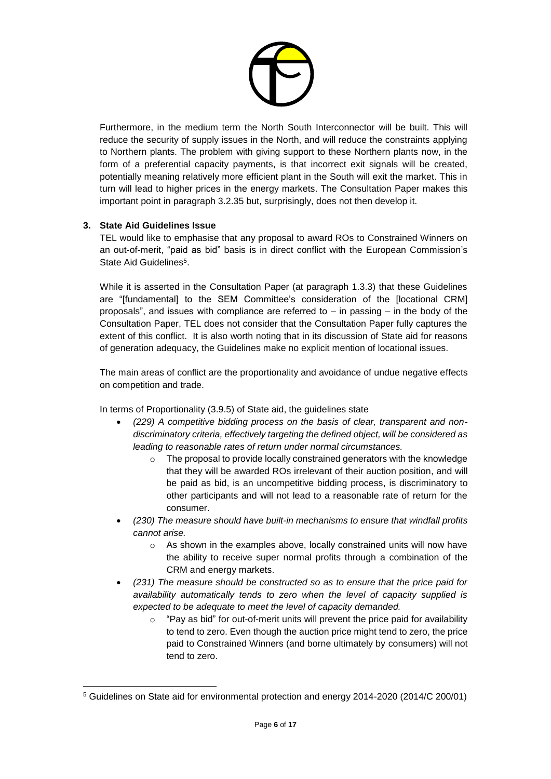

Furthermore, in the medium term the North South Interconnector will be built. This will reduce the security of supply issues in the North, and will reduce the constraints applying to Northern plants. The problem with giving support to these Northern plants now, in the form of a preferential capacity payments, is that incorrect exit signals will be created, potentially meaning relatively more efficient plant in the South will exit the market. This in turn will lead to higher prices in the energy markets. The Consultation Paper makes this important point in paragraph 3.2.35 but, surprisingly, does not then develop it.

# **3. State Aid Guidelines Issue**

 $\overline{a}$ 

TEL would like to emphasise that any proposal to award ROs to Constrained Winners on an out-of-merit, "paid as bid" basis is in direct conflict with the European Commission's State Aid Guidelines<sup>5</sup>.

While it is asserted in the Consultation Paper (at paragraph 1.3.3) that these Guidelines are "[fundamental] to the SEM Committee's consideration of the [locational CRM] proposals", and issues with compliance are referred to  $-$  in passing  $-$  in the body of the Consultation Paper, TEL does not consider that the Consultation Paper fully captures the extent of this conflict. It is also worth noting that in its discussion of State aid for reasons of generation adequacy, the Guidelines make no explicit mention of locational issues.

The main areas of conflict are the proportionality and avoidance of undue negative effects on competition and trade.

In terms of Proportionality (3.9.5) of State aid, the guidelines state

- *(229) A competitive bidding process on the basis of clear, transparent and nondiscriminatory criteria, effectively targeting the defined object, will be considered as leading to reasonable rates of return under normal circumstances.*
	- o The proposal to provide locally constrained generators with the knowledge that they will be awarded ROs irrelevant of their auction position, and will be paid as bid, is an uncompetitive bidding process, is discriminatory to other participants and will not lead to a reasonable rate of return for the consumer.
- *(230) The measure should have built-in mechanisms to ensure that windfall profits cannot arise.*
	- $\circ$  As shown in the examples above, locally constrained units will now have the ability to receive super normal profits through a combination of the CRM and energy markets.
- *(231) The measure should be constructed so as to ensure that the price paid for availability automatically tends to zero when the level of capacity supplied is expected to be adequate to meet the level of capacity demanded.*
	- o "Pay as bid" for out-of-merit units will prevent the price paid for availability to tend to zero. Even though the auction price might tend to zero, the price paid to Constrained Winners (and borne ultimately by consumers) will not tend to zero.

<sup>5</sup> Guidelines on State aid for environmental protection and energy 2014-2020 (2014/C 200/01)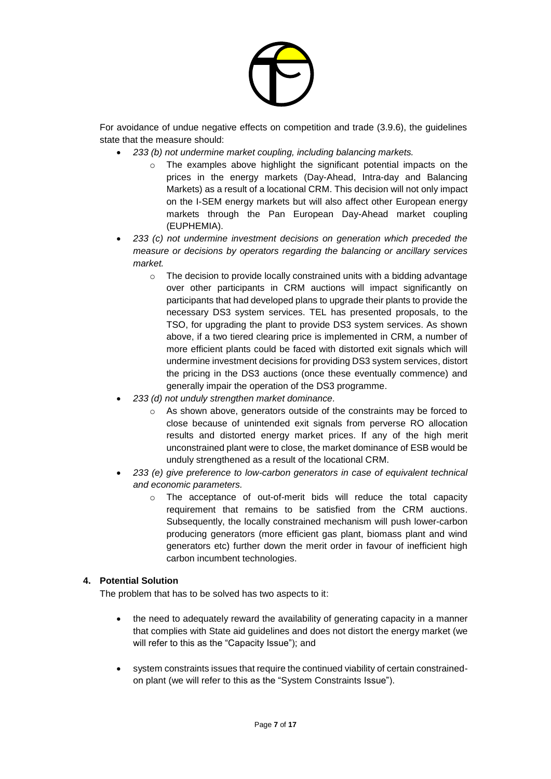

For avoidance of undue negative effects on competition and trade (3.9.6), the guidelines state that the measure should:

- *233 (b) not undermine market coupling, including balancing markets.*
	- o The examples above highlight the significant potential impacts on the prices in the energy markets (Day-Ahead, Intra-day and Balancing Markets) as a result of a locational CRM. This decision will not only impact on the I-SEM energy markets but will also affect other European energy markets through the Pan European Day-Ahead market coupling (EUPHEMIA).
- *233 (c) not undermine investment decisions on generation which preceded the measure or decisions by operators regarding the balancing or ancillary services market.*
	- $\circ$  The decision to provide locally constrained units with a bidding advantage over other participants in CRM auctions will impact significantly on participants that had developed plans to upgrade their plants to provide the necessary DS3 system services. TEL has presented proposals, to the TSO, for upgrading the plant to provide DS3 system services. As shown above, if a two tiered clearing price is implemented in CRM, a number of more efficient plants could be faced with distorted exit signals which will undermine investment decisions for providing DS3 system services, distort the pricing in the DS3 auctions (once these eventually commence) and generally impair the operation of the DS3 programme.
- *233 (d) not unduly strengthen market dominance.*
	- o As shown above, generators outside of the constraints may be forced to close because of unintended exit signals from perverse RO allocation results and distorted energy market prices. If any of the high merit unconstrained plant were to close, the market dominance of ESB would be unduly strengthened as a result of the locational CRM.
- *233 (e) give preference to low-carbon generators in case of equivalent technical and economic parameters.*
	- o The acceptance of out-of-merit bids will reduce the total capacity requirement that remains to be satisfied from the CRM auctions. Subsequently, the locally constrained mechanism will push lower-carbon producing generators (more efficient gas plant, biomass plant and wind generators etc) further down the merit order in favour of inefficient high carbon incumbent technologies.

# **4. Potential Solution**

The problem that has to be solved has two aspects to it:

- the need to adequately reward the availability of generating capacity in a manner that complies with State aid guidelines and does not distort the energy market (we will refer to this as the "Capacity Issue"); and
- system constraints issues that require the continued viability of certain constrainedon plant (we will refer to this as the "System Constraints Issue").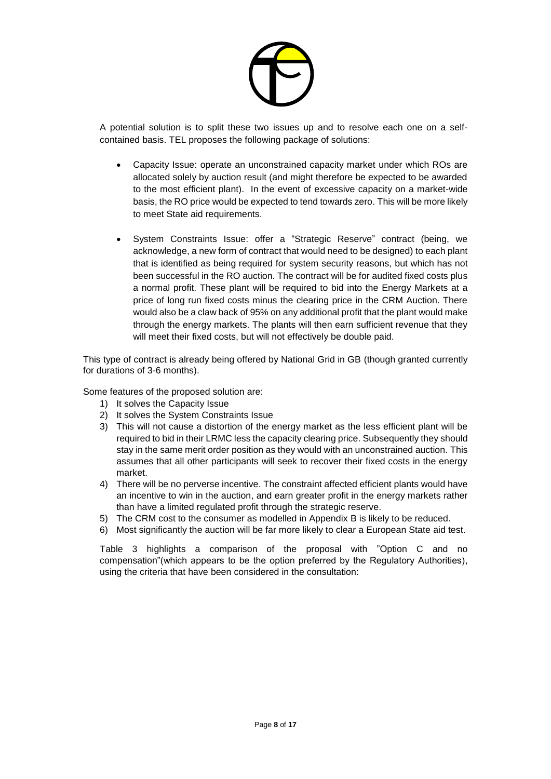

A potential solution is to split these two issues up and to resolve each one on a selfcontained basis. TEL proposes the following package of solutions:

- Capacity Issue: operate an unconstrained capacity market under which ROs are allocated solely by auction result (and might therefore be expected to be awarded to the most efficient plant). In the event of excessive capacity on a market-wide basis, the RO price would be expected to tend towards zero. This will be more likely to meet State aid requirements.
- System Constraints Issue: offer a "Strategic Reserve" contract (being, we acknowledge, a new form of contract that would need to be designed) to each plant that is identified as being required for system security reasons, but which has not been successful in the RO auction. The contract will be for audited fixed costs plus a normal profit. These plant will be required to bid into the Energy Markets at a price of long run fixed costs minus the clearing price in the CRM Auction. There would also be a claw back of 95% on any additional profit that the plant would make through the energy markets. The plants will then earn sufficient revenue that they will meet their fixed costs, but will not effectively be double paid.

This type of contract is already being offered by National Grid in GB (though granted currently for durations of 3-6 months).

Some features of the proposed solution are:

- 1) It solves the Capacity Issue
- 2) It solves the System Constraints Issue
- 3) This will not cause a distortion of the energy market as the less efficient plant will be required to bid in their LRMC less the capacity clearing price. Subsequently they should stay in the same merit order position as they would with an unconstrained auction. This assumes that all other participants will seek to recover their fixed costs in the energy market.
- 4) There will be no perverse incentive. The constraint affected efficient plants would have an incentive to win in the auction, and earn greater profit in the energy markets rather than have a limited regulated profit through the strategic reserve.
- 5) The CRM cost to the consumer as modelled in Appendix B is likely to be reduced.
- 6) Most significantly the auction will be far more likely to clear a European State aid test.

Table 3 highlights a comparison of the proposal with "Option C and no compensation"(which appears to be the option preferred by the Regulatory Authorities), using the criteria that have been considered in the consultation: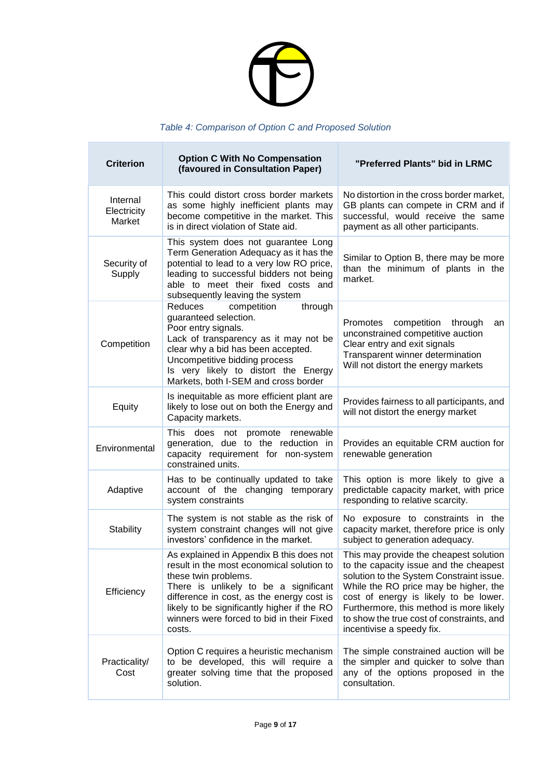

# *Table 4: Comparison of Option C and Proposed Solution*

г

| <b>Criterion</b>                  | <b>Option C With No Compensation</b><br>(favoured in Consultation Paper)                                                                                                                                                                                                                                  | "Preferred Plants" bid in LRMC                                                                                                                                                                                                                                                                                                      |
|-----------------------------------|-----------------------------------------------------------------------------------------------------------------------------------------------------------------------------------------------------------------------------------------------------------------------------------------------------------|-------------------------------------------------------------------------------------------------------------------------------------------------------------------------------------------------------------------------------------------------------------------------------------------------------------------------------------|
| Internal<br>Electricity<br>Market | This could distort cross border markets<br>as some highly inefficient plants may<br>become competitive in the market. This<br>is in direct violation of State aid.                                                                                                                                        | No distortion in the cross border market,<br>GB plants can compete in CRM and if<br>successful, would receive the same<br>payment as all other participants.                                                                                                                                                                        |
| Security of<br>Supply             | This system does not guarantee Long<br>Term Generation Adequacy as it has the<br>potential to lead to a very low RO price,<br>leading to successful bidders not being<br>able to meet their fixed costs and<br>subsequently leaving the system                                                            | Similar to Option B, there may be more<br>than the minimum of plants in the<br>market.                                                                                                                                                                                                                                              |
| Competition                       | through<br>Reduces<br>competition<br>guaranteed selection.<br>Poor entry signals.<br>Lack of transparency as it may not be<br>clear why a bid has been accepted.<br>Uncompetitive bidding process<br>Is very likely to distort the Energy<br>Markets, both I-SEM and cross border                         | Promotes competition<br>through<br>an<br>unconstrained competitive auction<br>Clear entry and exit signals<br>Transparent winner determination<br>Will not distort the energy markets                                                                                                                                               |
| Equity                            | Is inequitable as more efficient plant are<br>likely to lose out on both the Energy and<br>Capacity markets.                                                                                                                                                                                              | Provides fairness to all participants, and<br>will not distort the energy market                                                                                                                                                                                                                                                    |
| Environmental                     | <b>This</b><br>does not promote<br>renewable<br>generation, due to the reduction in<br>capacity requirement for non-system<br>constrained units.                                                                                                                                                          | Provides an equitable CRM auction for<br>renewable generation                                                                                                                                                                                                                                                                       |
| Adaptive                          | Has to be continually updated to take<br>account of the changing temporary<br>system constraints                                                                                                                                                                                                          | This option is more likely to give a<br>predictable capacity market, with price<br>responding to relative scarcity.                                                                                                                                                                                                                 |
| Stability                         | The system is not stable as the risk of<br>system constraint changes will not give<br>investors' confidence in the market.                                                                                                                                                                                | No exposure to constraints in the<br>capacity market, therefore price is only<br>subject to generation adequacy.                                                                                                                                                                                                                    |
| Efficiency                        | As explained in Appendix B this does not<br>result in the most economical solution to<br>these twin problems.<br>There is unlikely to be a significant<br>difference in cost, as the energy cost is<br>likely to be significantly higher if the RO<br>winners were forced to bid in their Fixed<br>costs. | This may provide the cheapest solution<br>to the capacity issue and the cheapest<br>solution to the System Constraint issue.<br>While the RO price may be higher, the<br>cost of energy is likely to be lower.<br>Furthermore, this method is more likely<br>to show the true cost of constraints, and<br>incentivise a speedy fix. |
| Practicality/<br>Cost             | Option C requires a heuristic mechanism<br>to be developed, this will require a<br>greater solving time that the proposed<br>solution.                                                                                                                                                                    | The simple constrained auction will be<br>the simpler and quicker to solve than<br>any of the options proposed in the<br>consultation.                                                                                                                                                                                              |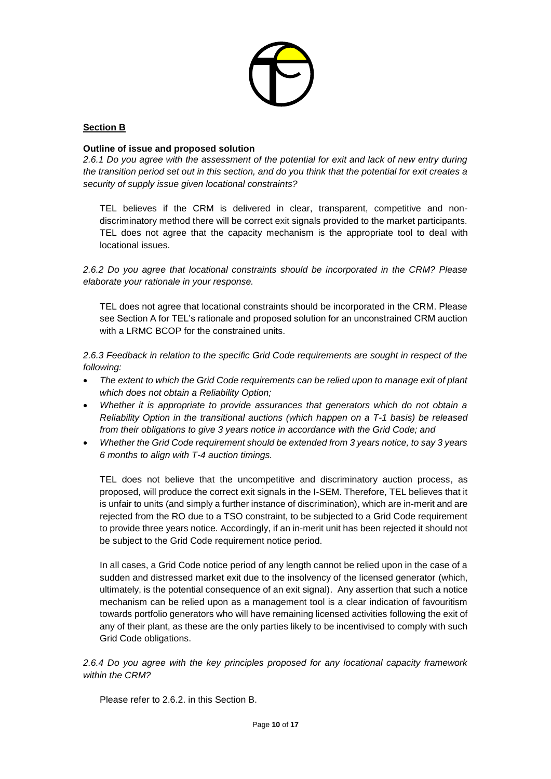

# **Section B**

#### **Outline of issue and proposed solution**

*2.6.1 Do you agree with the assessment of the potential for exit and lack of new entry during the transition period set out in this section, and do you think that the potential for exit creates a security of supply issue given locational constraints?*

TEL believes if the CRM is delivered in clear, transparent, competitive and nondiscriminatory method there will be correct exit signals provided to the market participants. TEL does not agree that the capacity mechanism is the appropriate tool to deal with locational issues.

*2.6.2 Do you agree that locational constraints should be incorporated in the CRM? Please elaborate your rationale in your response.*

TEL does not agree that locational constraints should be incorporated in the CRM. Please see Section A for TEL's rationale and proposed solution for an unconstrained CRM auction with a LRMC BCOP for the constrained units.

*2.6.3 Feedback in relation to the specific Grid Code requirements are sought in respect of the following:*

- *The extent to which the Grid Code requirements can be relied upon to manage exit of plant which does not obtain a Reliability Option;*
- *Whether it is appropriate to provide assurances that generators which do not obtain a Reliability Option in the transitional auctions (which happen on a T-1 basis) be released from their obligations to give 3 years notice in accordance with the Grid Code; and*
- *Whether the Grid Code requirement should be extended from 3 years notice, to say 3 years 6 months to align with T-4 auction timings.*

TEL does not believe that the uncompetitive and discriminatory auction process, as proposed, will produce the correct exit signals in the I-SEM. Therefore, TEL believes that it is unfair to units (and simply a further instance of discrimination), which are in-merit and are rejected from the RO due to a TSO constraint, to be subjected to a Grid Code requirement to provide three years notice. Accordingly, if an in-merit unit has been rejected it should not be subject to the Grid Code requirement notice period.

In all cases, a Grid Code notice period of any length cannot be relied upon in the case of a sudden and distressed market exit due to the insolvency of the licensed generator (which, ultimately, is the potential consequence of an exit signal). Any assertion that such a notice mechanism can be relied upon as a management tool is a clear indication of favouritism towards portfolio generators who will have remaining licensed activities following the exit of any of their plant, as these are the only parties likely to be incentivised to comply with such Grid Code obligations.

*2.6.4 Do you agree with the key principles proposed for any locational capacity framework within the CRM?*

Please refer to 2.6.2. in this Section B.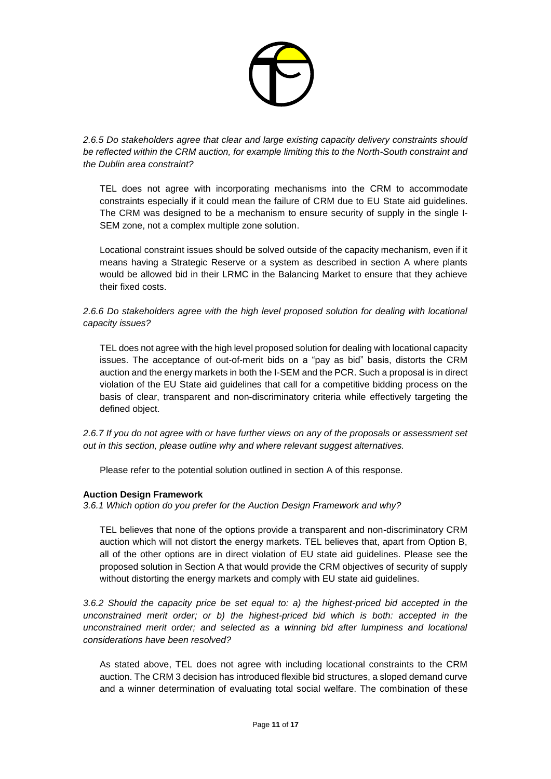

*2.6.5 Do stakeholders agree that clear and large existing capacity delivery constraints should be reflected within the CRM auction, for example limiting this to the North-South constraint and the Dublin area constraint?*

TEL does not agree with incorporating mechanisms into the CRM to accommodate constraints especially if it could mean the failure of CRM due to EU State aid guidelines. The CRM was designed to be a mechanism to ensure security of supply in the single I-SEM zone, not a complex multiple zone solution.

Locational constraint issues should be solved outside of the capacity mechanism, even if it means having a Strategic Reserve or a system as described in section A where plants would be allowed bid in their LRMC in the Balancing Market to ensure that they achieve their fixed costs.

# *2.6.6 Do stakeholders agree with the high level proposed solution for dealing with locational capacity issues?*

TEL does not agree with the high level proposed solution for dealing with locational capacity issues. The acceptance of out-of-merit bids on a "pay as bid" basis, distorts the CRM auction and the energy markets in both the I-SEM and the PCR. Such a proposal is in direct violation of the EU State aid guidelines that call for a competitive bidding process on the basis of clear, transparent and non-discriminatory criteria while effectively targeting the defined object.

*2.6.7 If you do not agree with or have further views on any of the proposals or assessment set out in this section, please outline why and where relevant suggest alternatives.*

Please refer to the potential solution outlined in section A of this response.

# **Auction Design Framework**

*3.6.1 Which option do you prefer for the Auction Design Framework and why?*

TEL believes that none of the options provide a transparent and non-discriminatory CRM auction which will not distort the energy markets. TEL believes that, apart from Option B, all of the other options are in direct violation of EU state aid guidelines. Please see the proposed solution in Section A that would provide the CRM objectives of security of supply without distorting the energy markets and comply with EU state aid guidelines.

*3.6.2 Should the capacity price be set equal to: a) the highest-priced bid accepted in the unconstrained merit order; or b) the highest-priced bid which is both: accepted in the unconstrained merit order; and selected as a winning bid after lumpiness and locational considerations have been resolved?*

As stated above, TEL does not agree with including locational constraints to the CRM auction. The CRM 3 decision has introduced flexible bid structures, a sloped demand curve and a winner determination of evaluating total social welfare. The combination of these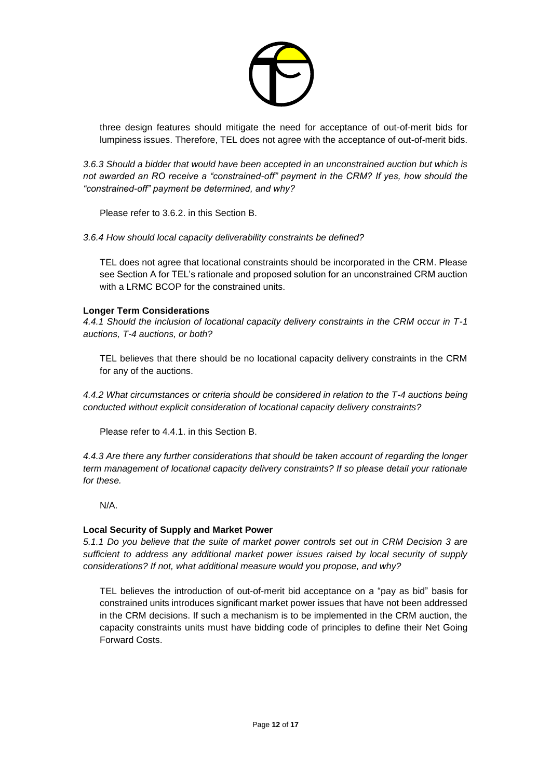

three design features should mitigate the need for acceptance of out-of-merit bids for lumpiness issues. Therefore, TEL does not agree with the acceptance of out-of-merit bids.

*3.6.3 Should a bidder that would have been accepted in an unconstrained auction but which is not awarded an RO receive a "constrained-off" payment in the CRM? If yes, how should the "constrained-off" payment be determined, and why?*

Please refer to 3.6.2. in this Section B.

*3.6.4 How should local capacity deliverability constraints be defined?* 

TEL does not agree that locational constraints should be incorporated in the CRM. Please see Section A for TEL's rationale and proposed solution for an unconstrained CRM auction with a LRMC BCOP for the constrained units.

#### **Longer Term Considerations**

*4.4.1 Should the inclusion of locational capacity delivery constraints in the CRM occur in T-1 auctions, T-4 auctions, or both?*

TEL believes that there should be no locational capacity delivery constraints in the CRM for any of the auctions.

*4.4.2 What circumstances or criteria should be considered in relation to the T-4 auctions being conducted without explicit consideration of locational capacity delivery constraints?*

Please refer to 4.4.1. in this Section B.

*4.4.3 Are there any further considerations that should be taken account of regarding the longer term management of locational capacity delivery constraints? If so please detail your rationale for these.*

N/A.

### **Local Security of Supply and Market Power**

*5.1.1 Do you believe that the suite of market power controls set out in CRM Decision 3 are sufficient to address any additional market power issues raised by local security of supply considerations? If not, what additional measure would you propose, and why?*

TEL believes the introduction of out-of-merit bid acceptance on a "pay as bid" basis for constrained units introduces significant market power issues that have not been addressed in the CRM decisions. If such a mechanism is to be implemented in the CRM auction, the capacity constraints units must have bidding code of principles to define their Net Going Forward Costs.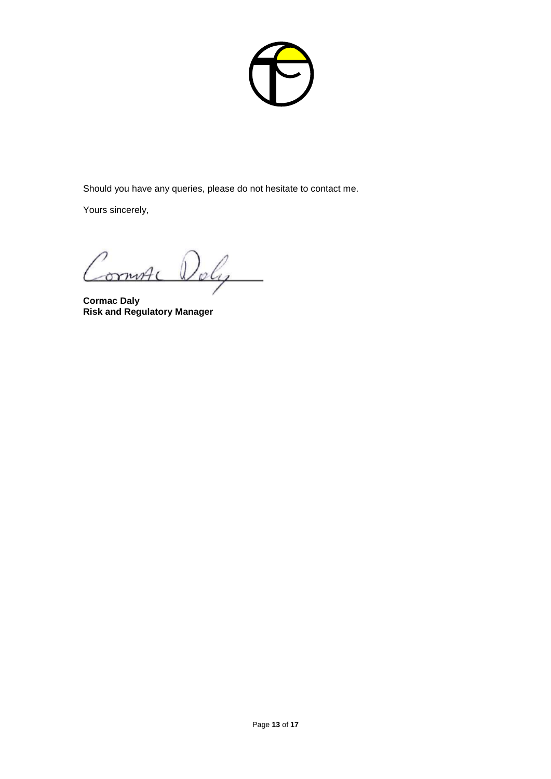

Should you have any queries, please do not hesitate to contact me.

Yours sincerely,

**Cormac Daly Risk and Regulatory Manager**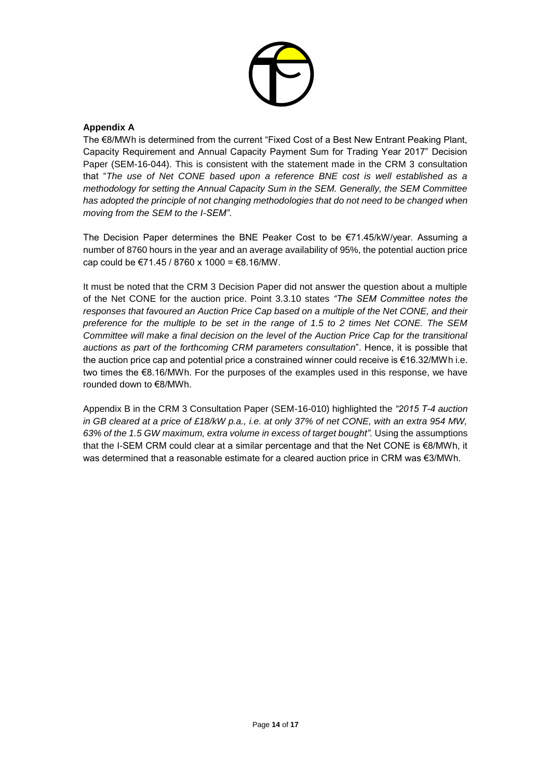

# **Appendix A**

The €8/MWh is determined from the current "Fixed Cost of a Best New Entrant Peaking Plant, Capacity Requirement and Annual Capacity Payment Sum for Trading Year 2017" Decision Paper (SEM-16-044). This is consistent with the statement made in the CRM 3 consultation that "*The use of Net CONE based upon a reference BNE cost is well established as a methodology for setting the Annual Capacity Sum in the SEM. Generally, the SEM Committee has adopted the principle of not changing methodologies that do not need to be changed when moving from the SEM to the I-SEM"*.

The Decision Paper determines the BNE Peaker Cost to be €71.45/kW/year. Assuming a number of 8760 hours in the year and an average availability of 95%, the potential auction price cap could be  $\text{\textsterling}71.45 / 8760 \times 1000 = \text{\textsterling}8.16/\text{MW}$ .

It must be noted that the CRM 3 Decision Paper did not answer the question about a multiple of the Net CONE for the auction price. Point 3.3.10 states *"The SEM Committee notes the responses that favoured an Auction Price Cap based on a multiple of the Net CONE, and their preference for the multiple to be set in the range of 1.5 to 2 times Net CONE. The SEM Committee will make a final decision on the level of the Auction Price Cap for the transitional auctions as part of the forthcoming CRM parameters consultation*". Hence, it is possible that the auction price cap and potential price a constrained winner could receive is €16.32/MWh i.e. two times the €8.16/MWh. For the purposes of the examples used in this response, we have rounded down to €8/MWh.

Appendix B in the CRM 3 Consultation Paper (SEM-16-010) highlighted the *"2015 T-4 auction in GB cleared at a price of £18/kW p.a., i.e. at only 37% of net CONE, with an extra 954 MW, 63% of the 1.5 GW maximum, extra volume in excess of target bought".* Using the assumptions that the I-SEM CRM could clear at a similar percentage and that the Net CONE is €8/MWh, it was determined that a reasonable estimate for a cleared auction price in CRM was €3/MWh.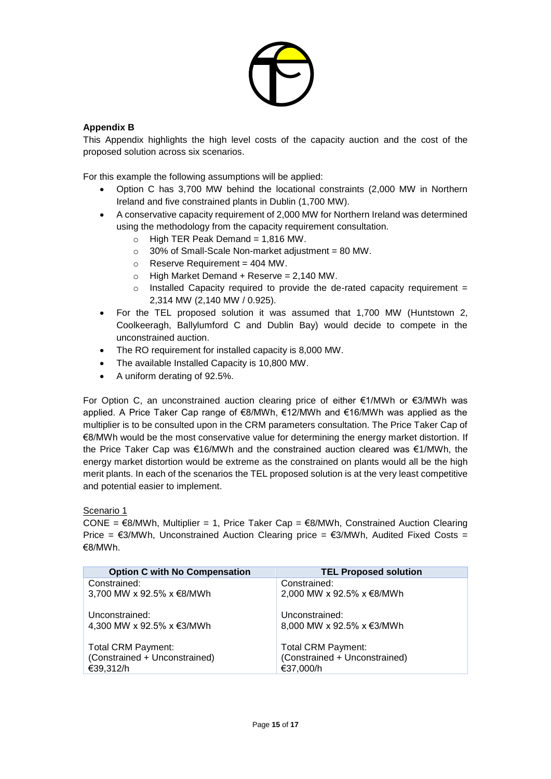

# **Appendix B**

This Appendix highlights the high level costs of the capacity auction and the cost of the proposed solution across six scenarios.

For this example the following assumptions will be applied:

- Option C has 3,700 MW behind the locational constraints (2,000 MW in Northern Ireland and five constrained plants in Dublin (1,700 MW).
- A conservative capacity requirement of 2,000 MW for Northern Ireland was determined using the methodology from the capacity requirement consultation.
	- $\circ$  High TER Peak Demand = 1,816 MW.
	- $\circ$  30% of Small-Scale Non-market adjustment = 80 MW.
	- $\circ$  Reserve Requirement = 404 MW.
	- $\circ$  High Market Demand + Reserve = 2,140 MW.
	- $\circ$  Installed Capacity required to provide the de-rated capacity requirement = 2,314 MW (2,140 MW / 0.925).
- For the TEL proposed solution it was assumed that 1,700 MW (Huntstown 2, Coolkeeragh, Ballylumford C and Dublin Bay) would decide to compete in the unconstrained auction.
- The RO requirement for installed capacity is 8,000 MW.
- The available Installed Capacity is 10,800 MW.
- A uniform derating of 92.5%.

For Option C, an unconstrained auction clearing price of either €1/MWh or €3/MWh was applied. A Price Taker Cap range of €8/MWh, €12/MWh and €16/MWh was applied as the multiplier is to be consulted upon in the CRM parameters consultation. The Price Taker Cap of €8/MWh would be the most conservative value for determining the energy market distortion. If the Price Taker Cap was €16/MWh and the constrained auction cleared was €1/MWh, the energy market distortion would be extreme as the constrained on plants would all be the high merit plants. In each of the scenarios the TEL proposed solution is at the very least competitive and potential easier to implement.

### Scenario 1

CONE =  $€8/MWh$ , Multiplier = 1, Price Taker Cap =  $€8/MWh$ , Constrained Auction Clearing Price =  $\epsilon$ 3/MWh, Unconstrained Auction Clearing price =  $\epsilon$ 3/MWh, Audited Fixed Costs = €8/MWh.

| <b>Option C with No Compensation</b> | <b>TEL Proposed solution</b>  |
|--------------------------------------|-------------------------------|
| Constrained:                         | Constrained:                  |
| 3,700 MW x 92.5% x €8/MWh            | 2,000 MW x 92.5% x €8/MWh     |
| Unconstrained:                       | Unconstrained:                |
| 4,300 MW x 92.5% x €3/MWh            | 8,000 MW x 92.5% x €3/MWh     |
| <b>Total CRM Payment:</b>            | <b>Total CRM Payment:</b>     |
| (Constrained + Unconstrained)        | (Constrained + Unconstrained) |
| €39,312/h                            | €37,000/h                     |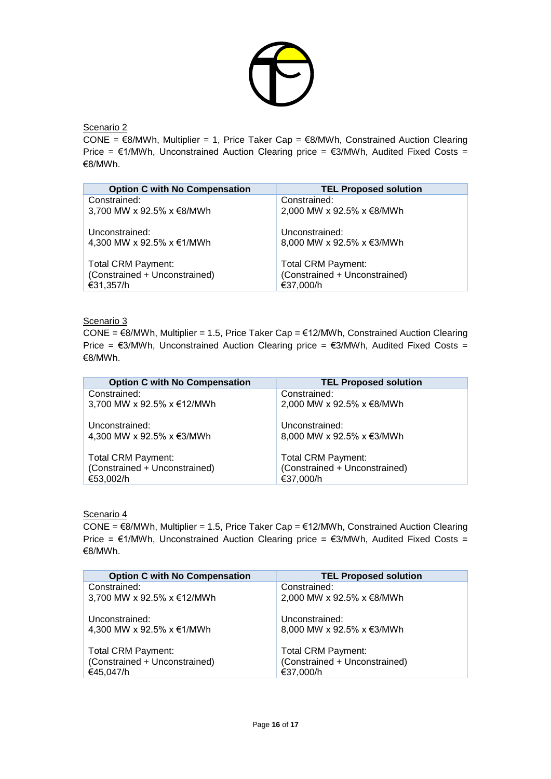

Scenario 2

CONE =  $€8/MWh$ , Multiplier = 1, Price Taker Cap =  $€8/MWh$ , Constrained Auction Clearing Price =  $\epsilon$ 1/MWh, Unconstrained Auction Clearing price =  $\epsilon$ 3/MWh, Audited Fixed Costs = €8/MWh.

| <b>Option C with No Compensation</b> | <b>TEL Proposed solution</b>  |
|--------------------------------------|-------------------------------|
| Constrained:                         | Constrained:                  |
| 3,700 MW x 92.5% x €8/MWh            | 2,000 MW x 92.5% x €8/MWh     |
| Unconstrained:                       | Unconstrained:                |
| 4,300 MW x 92.5% x €1/MWh            | 8,000 MW x 92.5% x €3/MWh     |
| <b>Total CRM Payment:</b>            | <b>Total CRM Payment:</b>     |
| (Constrained + Unconstrained)        | (Constrained + Unconstrained) |
| €31,357/h                            | €37,000/h                     |

### Scenario 3

CONE =  $€8/MWh$ , Multiplier = 1.5, Price Taker Cap =  $€12/MWh$ , Constrained Auction Clearing Price =  $\epsilon$ 3/MWh, Unconstrained Auction Clearing price =  $\epsilon$ 3/MWh, Audited Fixed Costs = €8/MWh.

| <b>Option C with No Compensation</b> | <b>TEL Proposed solution</b>  |
|--------------------------------------|-------------------------------|
| Constrained:                         | Constrained:                  |
| 3,700 MW x 92.5% x €12/MWh           | 2,000 MW x 92.5% x €8/MWh     |
| Unconstrained:                       | Unconstrained:                |
| 4,300 MW x 92.5% x €3/MWh            | 8,000 MW x 92.5% x €3/MWh     |
| Total CRM Payment:                   | <b>Total CRM Payment:</b>     |
| (Constrained + Unconstrained)        | (Constrained + Unconstrained) |
| €53,002/h                            | €37,000/h                     |

### Scenario 4

CONE =  $€8/MWh$ , Multiplier = 1.5, Price Taker Cap =  $€12/MWh$ , Constrained Auction Clearing Price =  $€1/MWh$ , Unconstrained Auction Clearing price =  $€3/MWh$ , Audited Fixed Costs = €8/MWh.

| <b>Option C with No Compensation</b> | <b>TEL Proposed solution</b>  |
|--------------------------------------|-------------------------------|
| Constrained:                         | Constrained:                  |
| 3,700 MW x 92.5% x €12/MWh           | 2,000 MW x 92.5% x €8/MWh     |
| Unconstrained:                       | Unconstrained:                |
| 4,300 MW x 92.5% x €1/MWh            | 8,000 MW x 92.5% x €3/MWh     |
| <b>Total CRM Payment:</b>            | <b>Total CRM Payment:</b>     |
| (Constrained + Unconstrained)        | (Constrained + Unconstrained) |
| €45,047/h                            | €37,000/h                     |